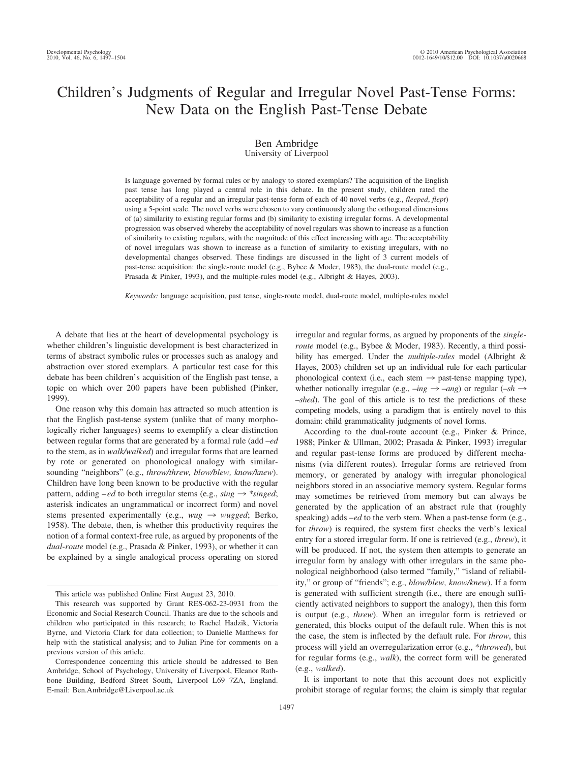# Children's Judgments of Regular and Irregular Novel Past-Tense Forms: New Data on the English Past-Tense Debate

# Ben Ambridge University of Liverpool

Is language governed by formal rules or by analogy to stored exemplars? The acquisition of the English past tense has long played a central role in this debate. In the present study, children rated the acceptability of a regular and an irregular past-tense form of each of 40 novel verbs (e.g., *fleeped*, *flept*) using a 5-point scale. The novel verbs were chosen to vary continuously along the orthogonal dimensions of (a) similarity to existing regular forms and (b) similarity to existing irregular forms. A developmental progression was observed whereby the acceptability of novel regulars was shown to increase as a function of similarity to existing regulars, with the magnitude of this effect increasing with age. The acceptability of novel irregulars was shown to increase as a function of similarity to existing irregulars, with no developmental changes observed. These findings are discussed in the light of 3 current models of past-tense acquisition: the single-route model (e.g., Bybee & Moder, 1983), the dual-route model (e.g., Prasada & Pinker, 1993), and the multiple-rules model (e.g., Albright & Hayes, 2003).

*Keywords:* language acquisition, past tense, single-route model, dual-route model, multiple-rules model

A debate that lies at the heart of developmental psychology is whether children's linguistic development is best characterized in terms of abstract symbolic rules or processes such as analogy and abstraction over stored exemplars. A particular test case for this debate has been children's acquisition of the English past tense, a topic on which over 200 papers have been published (Pinker, 1999).

One reason why this domain has attracted so much attention is that the English past-tense system (unlike that of many morphologically richer languages) seems to exemplify a clear distinction between regular forms that are generated by a formal rule (add –*ed* to the stem, as in *walk/walked*) and irregular forms that are learned by rote or generated on phonological analogy with similarsounding "neighbors" (e.g., *throw/threw, blow/blew, know/knew*). Children have long been known to be productive with the regular pattern, adding  $-e$ d to both irregular stems (e.g., *sing*  $\rightarrow$  \**singed*; asterisk indicates an ungrammatical or incorrect form) and novel stems presented experimentally (e.g.,  $wug \rightarrow wugged$ ; Berko, 1958). The debate, then, is whether this productivity requires the notion of a formal context-free rule, as argued by proponents of the *dual-route* model (e.g., Prasada & Pinker, 1993), or whether it can be explained by a single analogical process operating on stored irregular and regular forms, as argued by proponents of the *singleroute* model (e.g., Bybee & Moder, 1983). Recently, a third possibility has emerged. Under the *multiple-rules* model (Albright & Hayes, 2003) children set up an individual rule for each particular phonological context (i.e., each stem  $\rightarrow$  past-tense mapping type), whether notionally irregular (e.g.,  $-ing \rightarrow -ang$ ) or regular ( $-sh \rightarrow$ *–shed*). The goal of this article is to test the predictions of these competing models, using a paradigm that is entirely novel to this domain: child grammaticality judgments of novel forms.

According to the dual-route account (e.g., Pinker & Prince, 1988; Pinker & Ullman, 2002; Prasada & Pinker, 1993) irregular and regular past-tense forms are produced by different mechanisms (via different routes). Irregular forms are retrieved from memory, or generated by analogy with irregular phonological neighbors stored in an associative memory system. Regular forms may sometimes be retrieved from memory but can always be generated by the application of an abstract rule that (roughly speaking) adds  $-ed$  to the verb stem. When a past-tense form (e.g., for *throw*) is required, the system first checks the verb's lexical entry for a stored irregular form. If one is retrieved (e.g., *threw*), it will be produced. If not, the system then attempts to generate an irregular form by analogy with other irregulars in the same phonological neighborhood (also termed "family," "island of reliability," or group of "friends"; e.g., *blow/blew, know/knew*). If a form is generated with sufficient strength (i.e., there are enough sufficiently activated neighbors to support the analogy), then this form is output (e.g., *threw*). When an irregular form is retrieved or generated, this blocks output of the default rule. When this is not the case, the stem is inflected by the default rule. For *throw*, this process will yield an overregularization error (e.g., \**throwed*), but for regular forms (e.g., *walk*), the correct form will be generated (e.g., *walked*).

It is important to note that this account does not explicitly prohibit storage of regular forms; the claim is simply that regular

This article was published Online First August 23, 2010.

This research was supported by Grant RES-062-23-0931 from the Economic and Social Research Council. Thanks are due to the schools and children who participated in this research; to Rachel Hadzik, Victoria Byrne, and Victoria Clark for data collection; to Danielle Matthews for help with the statistical analysis; and to Julian Pine for comments on a previous version of this article.

Correspondence concerning this article should be addressed to Ben Ambridge, School of Psychology, University of Liverpool, Eleanor Rathbone Building, Bedford Street South, Liverpool L69 7ZA, England. E-mail: Ben.Ambridge@Liverpool.ac.uk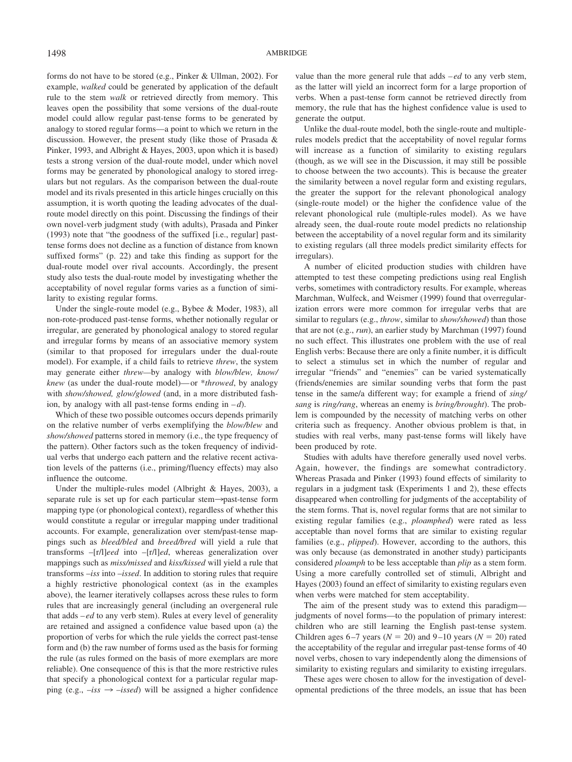forms do not have to be stored (e.g., Pinker & Ullman, 2002). For example, *walked* could be generated by application of the default rule to the stem *walk* or retrieved directly from memory. This leaves open the possibility that some versions of the dual-route model could allow regular past-tense forms to be generated by analogy to stored regular forms—a point to which we return in the discussion. However, the present study (like those of Prasada & Pinker, 1993, and Albright & Hayes, 2003, upon which it is based) tests a strong version of the dual-route model, under which novel forms may be generated by phonological analogy to stored irregulars but not regulars. As the comparison between the dual-route model and its rivals presented in this article hinges crucially on this assumption, it is worth quoting the leading advocates of the dualroute model directly on this point. Discussing the findings of their own novel-verb judgment study (with adults), Prasada and Pinker (1993) note that "the goodness of the suffixed [i.e., regular] pasttense forms does not decline as a function of distance from known suffixed forms" (p. 22) and take this finding as support for the dual-route model over rival accounts. Accordingly, the present study also tests the dual-route model by investigating whether the acceptability of novel regular forms varies as a function of similarity to existing regular forms.

Under the single-route model (e.g., Bybee & Moder, 1983), all non-rote-produced past-tense forms, whether notionally regular or irregular, are generated by phonological analogy to stored regular and irregular forms by means of an associative memory system (similar to that proposed for irregulars under the dual-route model). For example, if a child fails to retrieve *threw*, the system may generate either *threw—*by analogy with *blow/blew, know/ knew* (as under the dual-route model)— or \**throwed*, by analogy with *show/showed, glow/glowed* (and, in a more distributed fashion, by analogy with all past-tense forms ending in  $-d$ ).

Which of these two possible outcomes occurs depends primarily on the relative number of verbs exemplifying the *blow/blew* and *show/showed* patterns stored in memory (i.e., the type frequency of the pattern). Other factors such as the token frequency of individual verbs that undergo each pattern and the relative recent activation levels of the patterns (i.e., priming/fluency effects) may also influence the outcome.

Under the multiple-rules model (Albright & Hayes, 2003), a separate rule is set up for each particular stem $\rightarrow$ past-tense form mapping type (or phonological context), regardless of whether this would constitute a regular or irregular mapping under traditional accounts. For example, generalization over stem/past-tense mappings such as *bleed/bled* and *breed/bred* will yield a rule that transforms –[r/l]*eed* into –[r/l]*ed*, whereas generalization over mappings such as *miss/missed* and *kiss/kissed* will yield a rule that transforms –*iss* into –*issed*. In addition to storing rules that require a highly restrictive phonological context (as in the examples above), the learner iteratively collapses across these rules to form rules that are increasingly general (including an overgeneral rule that adds *– ed* to any verb stem). Rules at every level of generality are retained and assigned a confidence value based upon (a) the proportion of verbs for which the rule yields the correct past-tense form and (b) the raw number of forms used as the basis for forming the rule (as rules formed on the basis of more exemplars are more reliable). One consequence of this is that the more restrictive rules that specify a phonological context for a particular regular mapping (e.g.,  $-iss \rightarrow -issed$ ) will be assigned a higher confidence

value than the more general rule that adds *– ed* to any verb stem, as the latter will yield an incorrect form for a large proportion of verbs. When a past-tense form cannot be retrieved directly from memory, the rule that has the highest confidence value is used to generate the output.

Unlike the dual-route model, both the single-route and multiplerules models predict that the acceptability of novel regular forms will increase as a function of similarity to existing regulars (though, as we will see in the Discussion, it may still be possible to choose between the two accounts). This is because the greater the similarity between a novel regular form and existing regulars, the greater the support for the relevant phonological analogy (single-route model) or the higher the confidence value of the relevant phonological rule (multiple-rules model). As we have already seen, the dual-route route model predicts no relationship between the acceptability of a novel regular form and its similarity to existing regulars (all three models predict similarity effects for irregulars).

A number of elicited production studies with children have attempted to test these competing predictions using real English verbs, sometimes with contradictory results. For example, whereas Marchman, Wulfeck, and Weismer (1999) found that overregularization errors were more common for irregular verbs that are similar to regulars (e.g., *throw*, similar to *show/showed*) than those that are not (e.g., *run*), an earlier study by Marchman (1997) found no such effect. This illustrates one problem with the use of real English verbs: Because there are only a finite number, it is difficult to select a stimulus set in which the number of regular and irregular "friends" and "enemies" can be varied systematically (friends/enemies are similar sounding verbs that form the past tense in the same/a different way; for example a friend of *sing/ sang* is *ring/rang*, whereas an enemy is *bring/brought*). The problem is compounded by the necessity of matching verbs on other criteria such as frequency. Another obvious problem is that, in studies with real verbs, many past-tense forms will likely have been produced by rote.

Studies with adults have therefore generally used novel verbs. Again, however, the findings are somewhat contradictory. Whereas Prasada and Pinker (1993) found effects of similarity to regulars in a judgment task (Experiments 1 and 2), these effects disappeared when controlling for judgments of the acceptability of the stem forms. That is, novel regular forms that are not similar to existing regular families (e.g., *ploamphed*) were rated as less acceptable than novel forms that are similar to existing regular families (e.g., *plipped*). However, according to the authors, this was only because (as demonstrated in another study) participants considered *ploamph* to be less acceptable than *plip* as a stem form. Using a more carefully controlled set of stimuli, Albright and Hayes (2003) found an effect of similarity to existing regulars even when verbs were matched for stem acceptability.

The aim of the present study was to extend this paradigm judgments of novel forms—to the population of primary interest: children who are still learning the English past-tense system. Children ages  $6-7$  years ( $N = 20$ ) and  $9-10$  years ( $N = 20$ ) rated the acceptability of the regular and irregular past-tense forms of 40 novel verbs, chosen to vary independently along the dimensions of similarity to existing regulars and similarity to existing irregulars.

These ages were chosen to allow for the investigation of developmental predictions of the three models, an issue that has been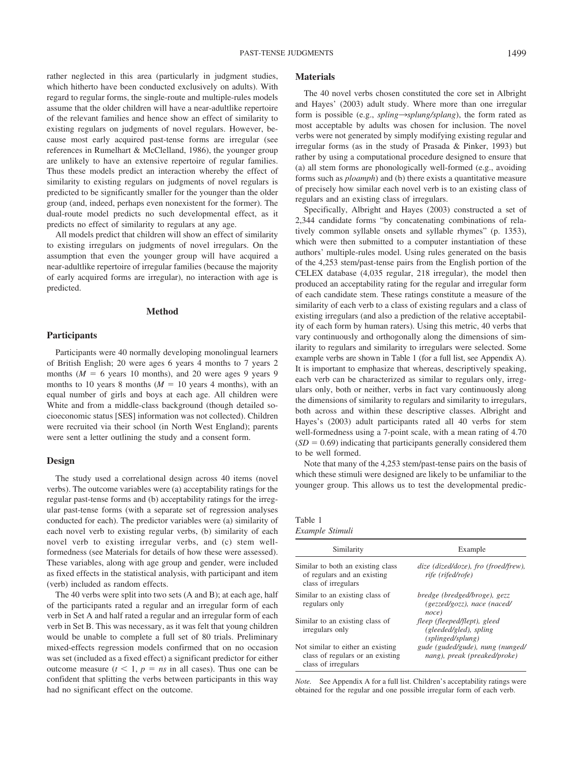rather neglected in this area (particularly in judgment studies, which hitherto have been conducted exclusively on adults). With regard to regular forms, the single-route and multiple-rules models assume that the older children will have a near-adultlike repertoire of the relevant families and hence show an effect of similarity to existing regulars on judgments of novel regulars. However, because most early acquired past-tense forms are irregular (see references in Rumelhart & McClelland, 1986), the younger group are unlikely to have an extensive repertoire of regular families. Thus these models predict an interaction whereby the effect of similarity to existing regulars on judgments of novel regulars is predicted to be significantly smaller for the younger than the older group (and, indeed, perhaps even nonexistent for the former). The dual-route model predicts no such developmental effect, as it predicts no effect of similarity to regulars at any age.

All models predict that children will show an effect of similarity to existing irregulars on judgments of novel irregulars. On the assumption that even the younger group will have acquired a near-adultlike repertoire of irregular families (because the majority of early acquired forms are irregular), no interaction with age is predicted.

#### **Method**

## **Participants**

Participants were 40 normally developing monolingual learners of British English; 20 were ages 6 years 4 months to 7 years 2 months  $(M = 6$  years 10 months), and 20 were ages 9 years 9 months to 10 years 8 months  $(M = 10$  years 4 months), with an equal number of girls and boys at each age. All children were White and from a middle-class background (though detailed socioeconomic status [SES] information was not collected). Children were recruited via their school (in North West England); parents were sent a letter outlining the study and a consent form.

#### **Design**

The study used a correlational design across 40 items (novel verbs). The outcome variables were (a) acceptability ratings for the regular past-tense forms and (b) acceptability ratings for the irregular past-tense forms (with a separate set of regression analyses conducted for each). The predictor variables were (a) similarity of each novel verb to existing regular verbs, (b) similarity of each novel verb to existing irregular verbs, and (c) stem wellformedness (see Materials for details of how these were assessed). These variables, along with age group and gender, were included as fixed effects in the statistical analysis, with participant and item (verb) included as random effects.

The 40 verbs were split into two sets (A and B); at each age, half of the participants rated a regular and an irregular form of each verb in Set A and half rated a regular and an irregular form of each verb in Set B. This was necessary, as it was felt that young children would be unable to complete a full set of 80 trials. Preliminary mixed-effects regression models confirmed that on no occasion was set (included as a fixed effect) a significant predictor for either outcome measure  $(t < 1, p = ns$  in all cases). Thus one can be confident that splitting the verbs between participants in this way had no significant effect on the outcome.

## **Materials**

The 40 novel verbs chosen constituted the core set in Albright and Hayes' (2003) adult study. Where more than one irregular form is possible (e.g., *spling* $\rightarrow$ *splung/splang*), the form rated as most acceptable by adults was chosen for inclusion. The novel verbs were not generated by simply modifying existing regular and irregular forms (as in the study of Prasada & Pinker, 1993) but rather by using a computational procedure designed to ensure that (a) all stem forms are phonologically well-formed (e.g., avoiding forms such as *ploamph*) and (b) there exists a quantitative measure of precisely how similar each novel verb is to an existing class of regulars and an existing class of irregulars.

Specifically, Albright and Hayes (2003) constructed a set of 2,344 candidate forms "by concatenating combinations of relatively common syllable onsets and syllable rhymes" (p. 1353), which were then submitted to a computer instantiation of these authors' multiple-rules model. Using rules generated on the basis of the 4,253 stem/past-tense pairs from the English portion of the CELEX database (4,035 regular, 218 irregular), the model then produced an acceptability rating for the regular and irregular form of each candidate stem. These ratings constitute a measure of the similarity of each verb to a class of existing regulars and a class of existing irregulars (and also a prediction of the relative acceptability of each form by human raters). Using this metric, 40 verbs that vary continuously and orthogonally along the dimensions of similarity to regulars and similarity to irregulars were selected. Some example verbs are shown in Table 1 (for a full list, see Appendix A). It is important to emphasize that whereas, descriptively speaking, each verb can be characterized as similar to regulars only, irregulars only, both or neither, verbs in fact vary continuously along the dimensions of similarity to regulars and similarity to irregulars, both across and within these descriptive classes. Albright and Hayes's (2003) adult participants rated all 40 verbs for stem well-formedness using a 7-point scale, with a mean rating of 4.70  $(SD = 0.69)$  indicating that participants generally considered them to be well formed.

Note that many of the 4,253 stem/past-tense pairs on the basis of which these stimuli were designed are likely to be unfamiliar to the younger group. This allows us to test the developmental predic-

Table 1 *Example Stimuli*

| Similarity                                                                                    | Example                                                                     |  |  |  |  |  |  |
|-----------------------------------------------------------------------------------------------|-----------------------------------------------------------------------------|--|--|--|--|--|--|
| Similar to both an existing class<br>of regulars and an existing<br>class of irregulars       | dize (dized/doze), fro (froed/frew),<br>rife (rifed/rofe)                   |  |  |  |  |  |  |
| Similar to an existing class of<br>regulars only                                              | bredge (bredged/broge), gezz<br>$(gez z e d/gozz)$ , nace (naced/<br>noce)  |  |  |  |  |  |  |
| Similar to an existing class of<br>irregulars only                                            | fleep (fleeped/flept), gleed<br>(gleeded/gled), spling<br>(splinged/splung) |  |  |  |  |  |  |
| Not similar to either an existing.<br>class of regulars or an existing<br>class of irregulars | gude (guded/gude), nung (nunged/<br>nang), preak (preaked/proke)            |  |  |  |  |  |  |

*Note.* See Appendix A for a full list. Children's acceptability ratings were obtained for the regular and one possible irregular form of each verb.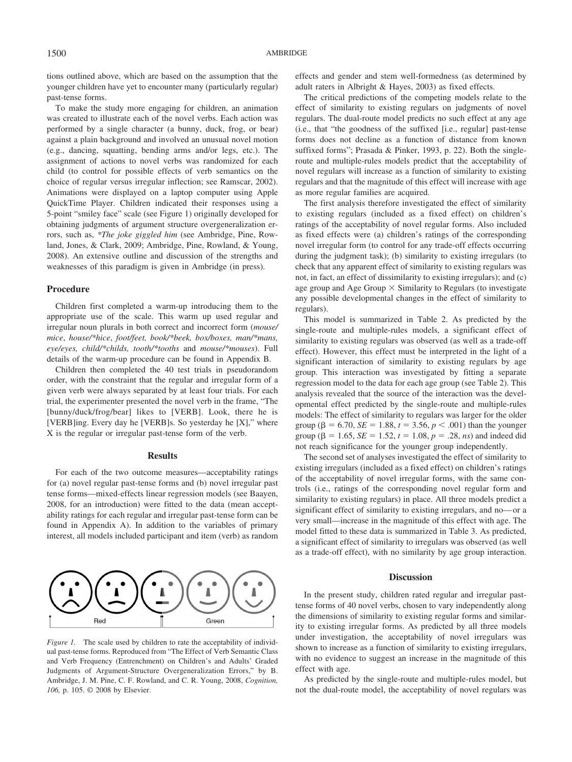tions outlined above, which are based on the assumption that the younger children have yet to encounter many (particularly regular) past-tense forms.

To make the study more engaging for children, an animation was created to illustrate each of the novel verbs. Each action was performed by a single character (a bunny, duck, frog, or bear) against a plain background and involved an unusual novel motion (e.g., dancing, squatting, bending arms and/or legs, etc.). The assignment of actions to novel verbs was randomized for each child (to control for possible effects of verb semantics on the choice of regular versus irregular inflection; see Ramscar, 2002). Animations were displayed on a laptop computer using Apple QuickTime Player. Children indicated their responses using a 5-point "smiley face" scale (see Figure 1) originally developed for obtaining judgments of argument structure overgeneralization errors, such as, *\*The joke giggled him* (see Ambridge, Pine, Rowland, Jones, & Clark, 2009; Ambridge, Pine, Rowland, & Young, 2008). An extensive outline and discussion of the strengths and weaknesses of this paradigm is given in Ambridge (in press).

#### **Procedure**

Children first completed a warm-up introducing them to the appropriate use of the scale. This warm up used regular and irregular noun plurals in both correct and incorrect form (*mouse/ mice*, *house/\*hice*, *foot/feet, book/\*beek, box/boxes, man/\*mans, eye/eyes, child/\*childs, tooth/\*tooths* and *mouse/\*mouses*). Full details of the warm-up procedure can be found in Appendix B.

Children then completed the 40 test trials in pseudorandom order, with the constraint that the regular and irregular form of a given verb were always separated by at least four trials. For each trial, the experimenter presented the novel verb in the frame, "The [bunny/duck/frog/bear] likes to [VERB]. Look, there he is [VERB]ing. Every day he [VERB]s. So yesterday he [X]," where X is the regular or irregular past-tense form of the verb.

### **Results**

For each of the two outcome measures—acceptability ratings for (a) novel regular past-tense forms and (b) novel irregular past tense forms—mixed-effects linear regression models (see Baayen, 2008, for an introduction) were fitted to the data (mean acceptability ratings for each regular and irregular past-tense form can be found in Appendix A). In addition to the variables of primary interest, all models included participant and item (verb) as random



*Figure 1.* The scale used by children to rate the acceptability of individual past-tense forms. Reproduced from "The Effect of Verb Semantic Class and Verb Frequency (Entrenchment) on Children's and Adults' Graded Judgments of Argument-Structure Overgeneralization Errors," by B. Ambridge, J. M. Pine, C. F. Rowland, and C. R. Young, 2008, *Cognition, 106,* p. 105. © 2008 by Elsevier.

effects and gender and stem well-formedness (as determined by adult raters in Albright & Hayes, 2003) as fixed effects.

The critical predictions of the competing models relate to the effect of similarity to existing regulars on judgments of novel regulars. The dual-route model predicts no such effect at any age (i.e., that "the goodness of the suffixed [i.e., regular] past-tense forms does not decline as a function of distance from known suffixed forms"; Prasada & Pinker, 1993, p. 22). Both the singleroute and multiple-rules models predict that the acceptability of novel regulars will increase as a function of similarity to existing regulars and that the magnitude of this effect will increase with age as more regular families are acquired.

The first analysis therefore investigated the effect of similarity to existing regulars (included as a fixed effect) on children's ratings of the acceptability of novel regular forms. Also included as fixed effects were (a) children's ratings of the corresponding novel irregular form (to control for any trade-off effects occurring during the judgment task); (b) similarity to existing irregulars (to check that any apparent effect of similarity to existing regulars was not, in fact, an effect of dissimilarity to existing irregulars); and (c) age group and Age Group  $\times$  Similarity to Regulars (to investigate any possible developmental changes in the effect of similarity to regulars).

This model is summarized in Table 2. As predicted by the single-route and multiple-rules models, a significant effect of similarity to existing regulars was observed (as well as a trade-off effect). However, this effect must be interpreted in the light of a significant interaction of similarity to existing regulars by age group. This interaction was investigated by fitting a separate regression model to the data for each age group (see Table 2). This analysis revealed that the source of the interaction was the developmental effect predicted by the single-route and multiple-rules models: The effect of similarity to regulars was larger for the older group ( $\beta = 6.70$ ,  $SE = 1.88$ ,  $t = 3.56$ ,  $p < .001$ ) than the younger group ( $\beta = 1.65$ ,  $SE = 1.52$ ,  $t = 1.08$ ,  $p = .28$ , *ns*) and indeed did not reach significance for the younger group independently.

The second set of analyses investigated the effect of similarity to existing irregulars (included as a fixed effect) on children's ratings of the acceptability of novel irregular forms, with the same controls (i.e., ratings of the corresponding novel regular form and similarity to existing regulars) in place. All three models predict a significant effect of similarity to existing irregulars, and no— or a very small—increase in the magnitude of this effect with age. The model fitted to these data is summarized in Table 3. As predicted, a significant effect of similarity to irregulars was observed (as well as a trade-off effect), with no similarity by age group interaction.

# **Discussion**

In the present study, children rated regular and irregular pasttense forms of 40 novel verbs, chosen to vary independently along the dimensions of similarity to existing regular forms and similarity to existing irregular forms. As predicted by all three models under investigation, the acceptability of novel irregulars was shown to increase as a function of similarity to existing irregulars, with no evidence to suggest an increase in the magnitude of this effect with age.

As predicted by the single-route and multiple-rules model, but not the dual-route model, the acceptability of novel regulars was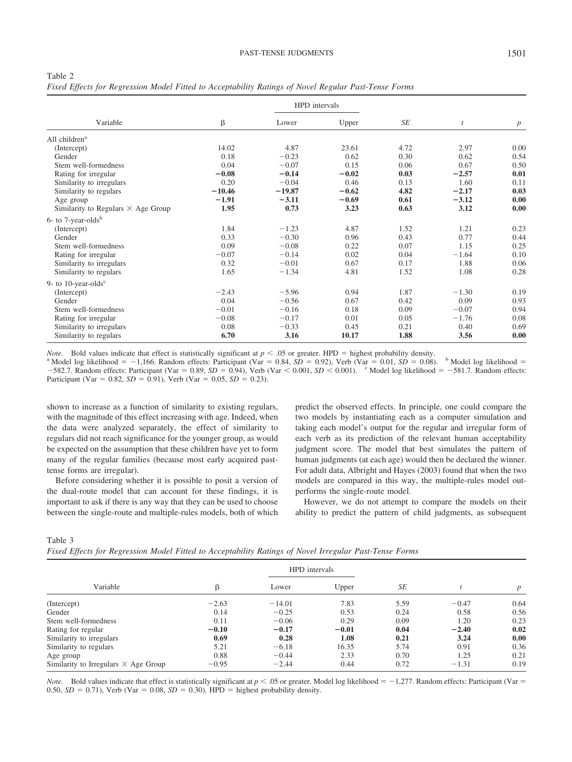#### PAST-TENSE JUDGMENTS 1501

| ×<br>۰. | v.<br>۰,<br>٠ |  |
|---------|---------------|--|
|         |               |  |

*Fixed Effects for Regression Model Fitted to Acceptability Ratings of Novel Regular Past-Tense Forms*

|                                           |          | HPD intervals |         |      |                  |                  |  |
|-------------------------------------------|----------|---------------|---------|------|------------------|------------------|--|
| Variable                                  | β        | Lower         | Upper   | SE   | $\boldsymbol{t}$ | $\boldsymbol{p}$ |  |
| All children <sup>a</sup>                 |          |               |         |      |                  |                  |  |
| (Intercept)                               | 14.02    | 4.87          | 23.61   | 4.72 | 2.97             | 0.00             |  |
| Gender                                    | 0.18     | $-0.23$       | 0.62    | 0.30 | 0.62             | 0.54             |  |
| Stem well-formedness                      | 0.04     | $-0.07$       | 0.15    | 0.06 | 0.67             | 0.50             |  |
| Rating for irregular                      | $-0.08$  | $-0.14$       | $-0.02$ | 0.03 | $-2.57$          | 0.01             |  |
| Similarity to irregulars                  | 0.20     | $-0.04$       | 0.46    | 0.13 | 1.60             | 0.11             |  |
| Similarity to regulars                    | $-10.46$ | $-19.87$      | $-0.62$ | 4.82 | $-2.17$          | 0.03             |  |
| Age group                                 | $-1.91$  | $-3.11$       | $-0.69$ | 0.61 | $-3.12$          | 0.00             |  |
| Similarity to Regulars $\times$ Age Group | 1.95     | 0.73          | 3.23    | 0.63 | 3.12             | 0.00             |  |
| $6-$ to 7-year-olds <sup>b</sup>          |          |               |         |      |                  |                  |  |
| (Intercept)                               | 1.84     | $-1.23$       | 4.87    | 1.52 | 1.21             | 0.23             |  |
| Gender                                    | 0.33     | $-0.30$       | 0.96    | 0.43 | 0.77             | 0.44             |  |
| Stem well-formedness                      | 0.09     | $-0.08$       | 0.22    | 0.07 | 1.15             | 0.25             |  |
| Rating for irregular                      | $-0.07$  | $-0.14$       | 0.02    | 0.04 | $-1.64$          | 0.10             |  |
| Similarity to irregulars                  | 0.32     | $-0.01$       | 0.67    | 0.17 | 1.88             | 0.06             |  |
| Similarity to regulars                    | 1.65     | $-1.34$       | 4.81    | 1.52 | 1.08             | 0.28             |  |
| 9- to 10-year-olds <sup>c</sup>           |          |               |         |      |                  |                  |  |
| (Intercept)                               | $-2.43$  | $-5.96$       | 0.94    | 1.87 | $-1.30$          | 0.19             |  |
| Gender                                    | 0.04     | $-0.56$       | 0.67    | 0.42 | 0.09             | 0.93             |  |
| Stem well-formedness                      | $-0.01$  | $-0.16$       | 0.18    | 0.09 | $-0.07$          | 0.94             |  |
| Rating for irregular                      | $-0.08$  | $-0.17$       | 0.01    | 0.05 | $-1.76$          | 0.08             |  |
| Similarity to irregulars                  | 0.08     | $-0.33$       | 0.45    | 0.21 | 0.40             | 0.69             |  |
| Similarity to regulars                    | 6.70     | 3.16          | 10.17   | 1.88 | 3.56             | 0.00             |  |

*Note.* Bold values indicate that effect is statistically significant at  $p < .05$  or greater. HPD = highest probability density.

<sup>a</sup> Model log likelihood = -1,166. Random effects: Participant (Var = 0.84, *SD* = 0.92), Verb (Var = 0.01, *SD* = 0.08). <sup>b</sup> Model log likelihood =  $-582.7$ . Random effects: Participant (Var = 0.89,  $SD = 0.94$ ), Verb (Var < 0.001,  $SD < 0.001$ ). C Model log likelihood =  $-581.7$ . Random effects: Participant (Var = 0.82,  $SD = 0.91$ ), Verb (Var = 0.05,  $SD = 0.23$ ).

shown to increase as a function of similarity to existing regulars, with the magnitude of this effect increasing with age. Indeed, when the data were analyzed separately, the effect of similarity to regulars did not reach significance for the younger group, as would be expected on the assumption that these children have yet to form many of the regular families (because most early acquired pasttense forms are irregular).

Before considering whether it is possible to posit a version of the dual-route model that can account for these findings, it is important to ask if there is any way that they can be used to choose between the single-route and multiple-rules models, both of which predict the observed effects. In principle, one could compare the two models by instantiating each as a computer simulation and taking each model's output for the regular and irregular form of each verb as its prediction of the relevant human acceptability judgment score. The model that best simulates the pattern of human judgments (at each age) would then be declared the winner. For adult data, Albright and Hayes (2003) found that when the two models are compared in this way, the multiple-rules model outperforms the single-route model.

However, we do not attempt to compare the models on their ability to predict the pattern of child judgments, as subsequent

#### Table 3

*Fixed Effects for Regression Model Fitted to Acceptability Ratings of Novel Irregular Past-Tense Forms*

|                                             |         | HPD intervals |         |      |         |      |
|---------------------------------------------|---------|---------------|---------|------|---------|------|
| Variable                                    | β       | Lower         | Upper   | SE   |         | p    |
| (Intercept)                                 | $-2.63$ | $-14.01$      | 7.83    | 5.59 | $-0.47$ | 0.64 |
| Gender                                      | 0.14    | $-0.25$       | 0.53    | 0.24 | 0.58    | 0.56 |
| Stem well-formedness                        | 0.11    | $-0.06$       | 0.29    | 0.09 | 1.20    | 0.23 |
| Rating for regular                          | $-0.10$ | $-0.17$       | $-0.01$ | 0.04 | $-2.40$ | 0.02 |
| Similarity to irregulars                    | 0.69    | 0.28          | 1.08    | 0.21 | 3.24    | 0.00 |
| Similarity to regulars                      | 5.21    | $-6.18$       | 16.35   | 5.74 | 0.91    | 0.36 |
| Age group                                   | 0.88    | $-0.44$       | 2.33    | 0.70 | 1.25    | 0.21 |
| Similarity to Irregulars $\times$ Age Group | $-0.95$ | $-2.44$       | 0.44    | 0.72 | $-1.31$ | 0.19 |

*Note.* Bold values indicate that effect is statistically significant at  $p < .05$  or greater. Model log likelihood  $= -1,277$ . Random effects: Participant (Var  $=$ 0.50,  $SD = 0.71$ ), Verb (Var = 0.08,  $SD = 0.30$ ). HPD = highest probability density.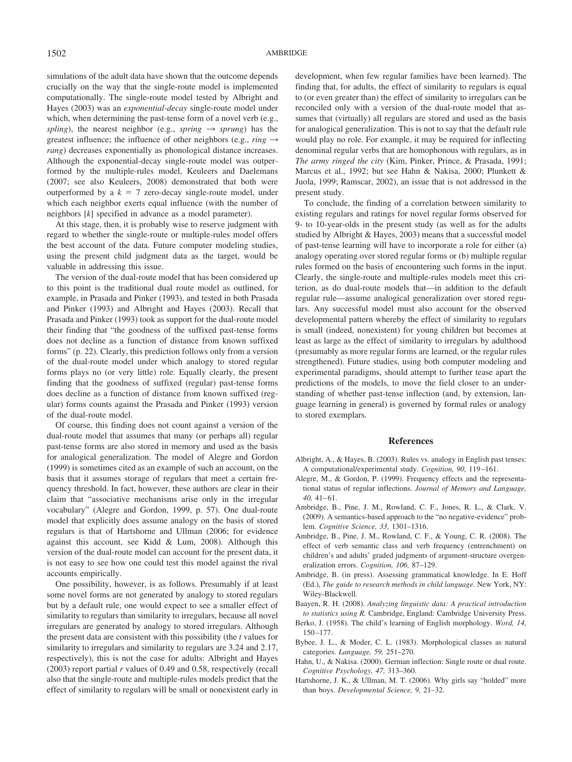simulations of the adult data have shown that the outcome depends crucially on the way that the single-route model is implemented computationally. The single-route model tested by Albright and Hayes (2003) was an *exponential-decay* single-route model under which, when determining the past-tense form of a novel verb (e.g., *spling*), the nearest neighbor (e.g., *spring*  $\rightarrow$  *sprung*) has the greatest influence; the influence of other neighbors (e.g., *ring*  $\rightarrow$ *rang*) decreases exponentially as phonological distance increases. Although the exponential-decay single-route model was outperformed by the multiple-rules model, Keuleers and Daelemans (2007; see also Keuleers, 2008) demonstrated that both were outperformed by a  $k = 7$  zero-decay single-route model, under which each neighbor exerts equal influence (with the number of neighbors [*k*] specified in advance as a model parameter).

At this stage, then, it is probably wise to reserve judgment with regard to whether the single-route or multiple-rules model offers the best account of the data. Future computer modeling studies, using the present child judgment data as the target, would be valuable in addressing this issue.

The version of the dual-route model that has been considered up to this point is the traditional dual route model as outlined, for example, in Prasada and Pinker (1993), and tested in both Prasada and Pinker (1993) and Albright and Hayes (2003). Recall that Prasada and Pinker (1993) took as support for the dual-route model their finding that "the goodness of the suffixed past-tense forms does not decline as a function of distance from known suffixed forms" (p. 22). Clearly, this prediction follows only from a version of the dual-route model under which analogy to stored regular forms plays no (or very little) role. Equally clearly, the present finding that the goodness of suffixed (regular) past-tense forms does decline as a function of distance from known suffixed (regular) forms counts against the Prasada and Pinker (1993) version of the dual-route model.

Of course, this finding does not count against a version of the dual-route model that assumes that many (or perhaps all) regular past-tense forms are also stored in memory and used as the basis for analogical generalization. The model of Alegre and Gordon (1999) is sometimes cited as an example of such an account, on the basis that it assumes storage of regulars that meet a certain frequency threshold. In fact, however, these authors are clear in their claim that "associative mechanisms arise only in the irregular vocabulary" (Alegre and Gordon, 1999, p. 57). One dual-route model that explicitly does assume analogy on the basis of stored regulars is that of Hartshorne and Ullman (2006; for evidence against this account, see Kidd & Lum, 2008). Although this version of the dual-route model can account for the present data, it is not easy to see how one could test this model against the rival accounts empirically.

One possibility, however, is as follows. Presumably if at least some novel forms are not generated by analogy to stored regulars but by a default rule, one would expect to see a smaller effect of similarity to regulars than similarity to irregulars, because all novel irregulars are generated by analogy to stored irregulars. Although the present data are consistent with this possibility (the *t* values for similarity to irregulars and similarity to regulars are 3.24 and 2.17, respectively), this is not the case for adults: Albright and Hayes (2003) report partial *r* values of 0.49 and 0.58, respectively (recall also that the single-route and multiple-rules models predict that the effect of similarity to regulars will be small or nonexistent early in

development, when few regular families have been learned). The finding that, for adults, the effect of similarity to regulars is equal to (or even greater than) the effect of similarity to irregulars can be reconciled only with a version of the dual-route model that assumes that (virtually) all regulars are stored and used as the basis for analogical generalization. This is not to say that the default rule would play no role. For example, it may be required for inflecting denominal regular verbs that are homophonous with regulars, as in *The army ringed the city* (Kim, Pinker, Prince, & Prasada, 1991; Marcus et al., 1992; but see Hahn & Nakisa, 2000; Plunkett & Juola, 1999; Ramscar, 2002), an issue that is not addressed in the present study.

To conclude, the finding of a correlation between similarity to existing regulars and ratings for novel regular forms observed for 9- to 10-year-olds in the present study (as well as for the adults studied by Albright & Hayes, 2003) means that a successful model of past-tense learning will have to incorporate a role for either (a) analogy operating over stored regular forms or (b) multiple regular rules formed on the basis of encountering such forms in the input. Clearly, the single-route and multiple-rules models meet this criterion, as do dual-route models that—in addition to the default regular rule—assume analogical generalization over stored regulars. Any successful model must also account for the observed developmental pattern whereby the effect of similarity to regulars is small (indeed, nonexistent) for young children but becomes at least as large as the effect of similarity to irregulars by adulthood (presumably as more regular forms are learned, or the regular rules strengthened). Future studies, using both computer modeling and experimental paradigms, should attempt to further tease apart the predictions of the models, to move the field closer to an understanding of whether past-tense inflection (and, by extension, language learning in general) is governed by formal rules or analogy to stored exemplars.

#### **References**

- Albright, A., & Hayes, B. (2003). Rules vs. analogy in English past tenses: A computational/experimental study. *Cognition, 90,* 119 –161.
- Alegre, M., & Gordon, P. (1999). Frequency effects and the representational status of regular inflections. *Journal of Memory and Language, 40,* 41– 61.
- Ambridge, B., Pine, J. M., Rowland, C. F., Jones, R. L., & Clark, V. (2009). A semantics-based approach to the "no negative-evidence" problem. *Cognitive Science, 33,* 1301–1316.
- Ambridge, B., Pine, J. M., Rowland, C. F., & Young, C. R. (2008). The effect of verb semantic class and verb frequency (entrenchment) on children's and adults' graded judgments of argument-structure overgeneralization errors. *Cognition, 106,* 87–129.
- Ambridge, B. (in press). Assessing grammatical knowledge. In E. Hoff (Ed.), *The guide to research methods in child language.* New York, NY: Wiley-Blackwell.
- Baayen, R. H. (2008). *Analyzing linguistic data: A practical introduction to statistics using R.* Cambridge, England: Cambridge University Press.
- Berko, J. (1958). The child's learning of English morphology. *Word, 14,* 150 –177.
- Bybee, J. L., & Moder, C. L. (1983). Morphological classes as natural categories. *Language, 59,* 251–270.
- Hahn, U., & Nakisa. (2000). German inflection: Single route or dual route. *Cognitive Psychology, 47,* 313–360.
- Hartshorne, J. K., & Ullman, M. T. (2006). Why girls say "holded" more than boys. *Developmental Science, 9,* 21–32.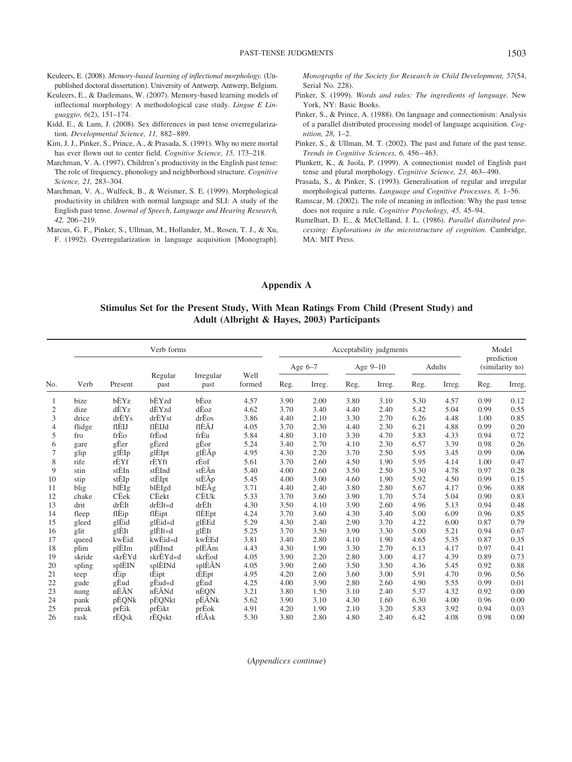#### PAST-TENSE JUDGMENTS 1503

- Keuleers, E. (2008). *Memory-based learning of inflectional morphology.* (Unpublished doctoral dissertation). University of Antwerp, Antwerp, Belgium.
- Keuleers, E., & Daelemans, W. (2007). Memory-based learning models of inflectional morphology: A methodological case study. *Lingue E Linguaggio, 6*(2), 151–174.
- Kidd, E., & Lum, J. (2008). Sex differences in past tense overregularization. *Developmental Science, 11,* 882– 889.
- Kim, J. J., Pinker, S., Prince, A., & Prasada, S. (1991). Why no mere mortal has ever flown out to center field. *Cognitive Science, 15,* 173–218.
- Marchman, V. A. (1997). Children's productivity in the English past tense: The role of frequency, phonology and neighborhood structure. *Cognitive Science, 21,* 283–304.
- Marchman, V. A., Wulfeck, B., & Weismer, S. E. (1999). Morphological productivity in children with normal language and SLI: A study of the English past tense. *Journal of Speech, Language and Hearing Research, 42,* 206 –219.
- Marcus, G. F., Pinker, S., Ullman, M., Hollander, M., Rosen, T. J., & Xu, F. (1992). Overregularization in language acquisition [Monograph].

*Monographs of the Society for Research in Child Development, 57*(54, Serial No. 228).

- Pinker, S. (1999). *Words and rules: The ingredients of language.* New York, NY: Basic Books.
- Pinker, S., & Prince, A. (1988). On language and connectionism: Analysis of a parallel distributed processing model of language acquisition. *Cognition, 28,* 1–2.
- Pinker, S., & Ullman, M. T. (2002). The past and future of the past tense. *Trends in Cognitive Sciences, 6,* 456 – 463.
- Plunkett, K., & Juola, P. (1999). A connectionist model of English past tense and plural morphology. *Cognitive Science, 23,* 463– 490.
- Prasada, S., & Pinker, S. (1993). Generalisation of regular and irregular morphological patterns. *Language and Cognitive Processes, 8,* 1–56.
- Ramscar, M. (2002). The role of meaning in inflection: Why the past tense does not require a rule. *Cognitive Psychology, 45,* 45–94.
- Rumelhart, D. E., & McClelland, J. L. (1986). *Parallel distributed processing: Explorations in the microstructure of cognition.* Cambridge, MA: MIT Press.

# **Appendix A**

# **Stimulus Set for the Present Study, With Mean Ratings From Child (Present Study) and Adult (Albright & Hayes, 2003) Participants**

|                | Verb forms |                 |                   |                   |                |           | Acceptability judgments |            |        |               |        |                               |        |
|----------------|------------|-----------------|-------------------|-------------------|----------------|-----------|-------------------------|------------|--------|---------------|--------|-------------------------------|--------|
|                |            |                 |                   |                   |                | Age $6-7$ |                         | Age $9-10$ |        | <b>Adults</b> |        | prediction<br>(similarity to) |        |
| No.            | Verb       | Present         | Regular<br>past   | Irregular<br>past | Well<br>formed | Reg.      | Irreg.                  | Reg.       | Irreg. | Reg.          | Irreg. | Reg.                          | Irreg. |
| 1              | bize       | bÈYz            | bÈYzd             | bÈoz              | 4.57           | 3.90      | 2.00                    | 3.80       | 3.10   | 5.30          | 4.57   | 0.99                          | 0.12   |
| $\mathfrak{2}$ | dize       | dÈYz            | dÈYzd             | dÈoz              | 4.62           | 3.70      | 3.40                    | 4.40       | 2.40   | 5.42          | 5.04   | 0.99                          | 0.55   |
| 3              | drice      | $dr\tilde{E}Ys$ | $dr\tilde{E}Y$ st | drÈos             | 3.86           | 4.40      | 2.10                    | 3.30       | 2.70   | 6.26          | 4.48   | 1.00                          | 0.85   |
| 4              | flidge     | flÈIJ           | flÈIJd            | flÈÃJ             | 4.05           | 3.70      | 2.30                    | 4.40       | 2.30   | 6.21          | 4.88   | 0.99                          | 0.20   |
| 5              | fro        | frÈo            | frÈod             | frÈu              | 5.84           | 4.80      | 3.10                    | 3.30       | 4.70   | 5.83          | 4.33   | 0.94                          | 0.72   |
| 6              | gare       | gÈer            | gEerd             | gÈor              | 5.24           | 3.40      | 2.70                    | 4.10       | 2.30   | 6.57          | 3.39   | 0.98                          | 0.26   |
| 7              | glip       | glÈIp           | glÈIpt            | glÈÃp             | 4.95           | 4.30      | 2.20                    | 3.70       | 2.50   | 5.95          | 3.45   | 0.99                          | 0.06   |
| 8              | rife       | rÈYf            | rÈYft             | rÈof              | 5.61           | 3.70      | 2.60                    | 4.50       | 1.90   | 5.95          | 4.14   | 1.00                          | 0.47   |
| 9              | stin       | stÈIn           | stÈInd            | stÈÃn             | 5.40           | 4.00      | 2.60                    | 3.50       | 2.50   | 5.30          | 4.78   | 0.97                          | 0.28   |
| 10             | stip       | stÈIp           | stÈIpt            | stÈÃp             | 5.45           | 4.00      | 3.00                    | 4.60       | 1.90   | 5.92          | 4.50   | 0.99                          | 0.15   |
| 11             | blig       | blÈIg           | blÈIgd            | blÈÃg             | 3.71           | 4.40      | 2.40                    | 3.80       | 2.80   | 5.67          | 4.17   | 0.96                          | 0.88   |
| 12             | chake      | CÈek            | CÈekt             | CÈUk              | 5.33           | 3.70      | 3.60                    | 3.90       | 1.70   | 5.74          | 5.04   | 0.90                          | 0.83   |
| 13             | drit       | drÈIt           | drÈIt«d           | drÈIt             | 4.30           | 3.50      | 4.10                    | 3.90       | 2.60   | 4.96          | 5.13   | 0.94                          | 0.48   |
| 14             | fleep      | flÈip           | flÈipt            | flEEpt            | 4.24           | 3.70      | 3.60                    | 4.30       | 3.40   | 5.00          | 6.09   | 0.96                          | 0.85   |
| 15             | gleed      | glÈid           | glEid«d           | glÈEd             | 5.29           | 4.30      | 2.40                    | 2.90       | 3.70   | 4.22          | 6.00   | 0.87                          | 0.79   |
| 16             | glit       | glÈIt           | glÈIt«d           | glÈIt             | 5.25           | 3.70      | 3.50                    | 3.90       | 3.30   | 5.00          | 5.21   | 0.94                          | 0.67   |
| 17             | queed      | kwÈid           | kwEid«d           | kwÈEd             | 3.81           | 3.40      | 2.80                    | 4.10       | 1.90   | 4.65          | 5.35   | 0.87                          | 0.35   |
| 18             | plim       | plÈIm           | plEImd            | plÈÃm             | 4.43           | 4.30      | 1.90                    | 3.30       | 2.70   | 6.13          | 4.17   | 0.97                          | 0.41   |
| 19             | skride     | skrÈYd          | skrÈYd«d          | skrÈod            | 4.05           | 3.90      | 2.20                    | 2.80       | 3.00   | 4.17          | 4.39   | 0.89                          | 0.73   |
| 20             | spling     | splÈIN          | splÈINd           | splÈÃN            | 4.05           | 3.90      | 2.60                    | 3.50       | 3.50   | 4.36          | 5.45   | 0.92                          | 0.88   |
| 21             | teep       | tÈip            | tÈipt             | tÈEpt             | 4.95           | 4.20      | 2.60                    | 3.60       | 3.00   | 5.91          | 4.70   | 0.96                          | 0.56   |
| 22             | gude       | gÈud            | gEud«d            | gÈud              | 4.25           | 4.00      | 3.90                    | 2.80       | 2.60   | 4.90          | 5.55   | 0.99                          | 0.01   |
| 23             | nung       | nÈÃN            | nÈÃNd             | nÈQN              | 3.21           | 3.80      | 1.50                    | 3.10       | 2.40   | 5.37          | 4.32   | 0.92                          | 0.00   |
| 24             | pank       | pÈQNk           | pÈQNkt            | pÈÃNk             | 5.62           | 3.90      | 3.10                    | 4.30       | 1.60   | 6.30          | 4.00   | 0.96                          | 0.00   |
| 25             | preak      | prÈik           | prÈikt            | prÈok             | 4.91           | 4.20      | 1.90                    | 2.10       | 3.20   | 5.83          | 3.92   | 0.94                          | 0.03   |
| 26             | rask       | rÈOsk           | rÈOskt            | rÈÃsk             | 5.30           | 3.80      | 2.80                    | 4.80       | 2.40   | 6.42          | 4.08   | 0.98                          | 0.00   |

(*Appendices continue*)